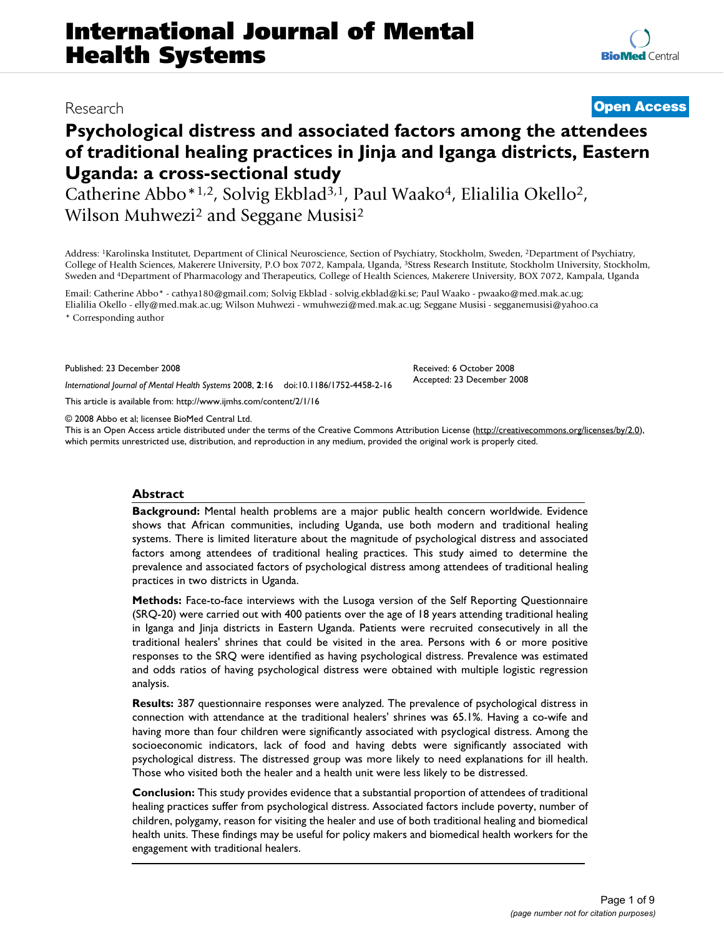## Research **[Open Access](http://www.biomedcentral.com/info/about/charter/)**

# **Psychological distress and associated factors among the attendees of traditional healing practices in Jinja and Iganga districts, Eastern Uganda: a cross-sectional study**

Catherine Abbo\*<sup>1,2</sup>, Solvig Ekblad<sup>3,1</sup>, Paul Waako<sup>4</sup>, Elialilia Okello<sup>2</sup>, Wilson Muhwezi<sup>2</sup> and Seggane Musisi<sup>2</sup>

Address: 1Karolinska Institutet, Department of Clinical Neuroscience, Section of Psychiatry, Stockholm, Sweden, 2Department of Psychiatry, College of Health Sciences, Makerere University, P.O box 7072, Kampala, Uganda, 3Stress Research Institute, Stockholm University, Stockholm, Sweden and 4Department of Pharmacology and Therapeutics, College of Health Sciences, Makerere University, BOX 7072, Kampala, Uganda

Email: Catherine Abbo\* - cathya180@gmail.com; Solvig Ekblad - solvig.ekblad@ki.se; Paul Waako - pwaako@med.mak.ac.ug; Elialilia Okello - elly@med.mak.ac.ug; Wilson Muhwezi - wmuhwezi@med.mak.ac.ug; Seggane Musisi - segganemusisi@yahoo.ca \* Corresponding author

Published: 23 December 2008

*International Journal of Mental Health Systems* 2008, **2**:16 doi:10.1186/1752-4458-2-16

[This article is available from: http://www.ijmhs.com/content/2/1/16](http://www.ijmhs.com/content/2/1/16)

© 2008 Abbo et al; licensee BioMed Central Ltd.

This is an Open Access article distributed under the terms of the Creative Commons Attribution License [\(http://creativecommons.org/licenses/by/2.0\)](http://creativecommons.org/licenses/by/2.0), which permits unrestricted use, distribution, and reproduction in any medium, provided the original work is properly cited.

Received: 6 October 2008 Accepted: 23 December 2008

#### **Abstract**

**Background:** Mental health problems are a major public health concern worldwide. Evidence shows that African communities, including Uganda, use both modern and traditional healing systems. There is limited literature about the magnitude of psychological distress and associated factors among attendees of traditional healing practices. This study aimed to determine the prevalence and associated factors of psychological distress among attendees of traditional healing practices in two districts in Uganda.

**Methods:** Face-to-face interviews with the Lusoga version of the Self Reporting Questionnaire (SRQ-20) were carried out with 400 patients over the age of 18 years attending traditional healing in Iganga and Jinja districts in Eastern Uganda. Patients were recruited consecutively in all the traditional healers' shrines that could be visited in the area. Persons with 6 or more positive responses to the SRQ were identified as having psychological distress. Prevalence was estimated and odds ratios of having psychological distress were obtained with multiple logistic regression analysis.

**Results:** 387 questionnaire responses were analyzed. The prevalence of psychological distress in connection with attendance at the traditional healers' shrines was 65.1%. Having a co-wife and having more than four children were significantly associated with psyclogical distress. Among the socioeconomic indicators, lack of food and having debts were significantly associated with psychological distress. The distressed group was more likely to need explanations for ill health. Those who visited both the healer and a health unit were less likely to be distressed.

**Conclusion:** This study provides evidence that a substantial proportion of attendees of traditional healing practices suffer from psychological distress. Associated factors include poverty, number of children, polygamy, reason for visiting the healer and use of both traditional healing and biomedical health units. These findings may be useful for policy makers and biomedical health workers for the engagement with traditional healers.

> Page 1 of 9 *(page number not for citation purposes)*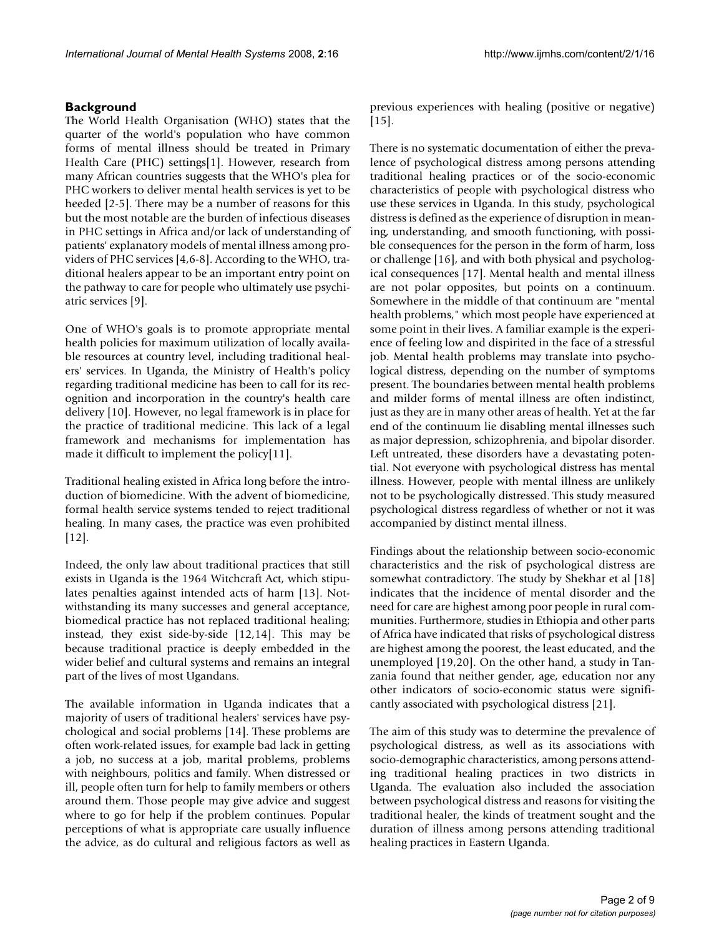### **Background**

The World Health Organisation (WHO) states that the quarter of the world's population who have common forms of mental illness should be treated in Primary Health Care (PHC) settings[1]. However, research from many African countries suggests that the WHO's plea for PHC workers to deliver mental health services is yet to be heeded [2-5]. There may be a number of reasons for this but the most notable are the burden of infectious diseases in PHC settings in Africa and/or lack of understanding of patients' explanatory models of mental illness among providers of PHC services [4,6-8]. According to the WHO, traditional healers appear to be an important entry point on the pathway to care for people who ultimately use psychiatric services [9].

One of WHO's goals is to promote appropriate mental health policies for maximum utilization of locally available resources at country level, including traditional healers' services. In Uganda, the Ministry of Health's policy regarding traditional medicine has been to call for its recognition and incorporation in the country's health care delivery [10]. However, no legal framework is in place for the practice of traditional medicine. This lack of a legal framework and mechanisms for implementation has made it difficult to implement the policy[11].

Traditional healing existed in Africa long before the introduction of biomedicine. With the advent of biomedicine, formal health service systems tended to reject traditional healing. In many cases, the practice was even prohibited [12].

Indeed, the only law about traditional practices that still exists in Uganda is the 1964 Witchcraft Act, which stipulates penalties against intended acts of harm [13]. Notwithstanding its many successes and general acceptance, biomedical practice has not replaced traditional healing; instead, they exist side-by-side [12,14]. This may be because traditional practice is deeply embedded in the wider belief and cultural systems and remains an integral part of the lives of most Ugandans.

The available information in Uganda indicates that a majority of users of traditional healers' services have psychological and social problems [14]. These problems are often work-related issues, for example bad lack in getting a job, no success at a job, marital problems, problems with neighbours, politics and family. When distressed or ill, people often turn for help to family members or others around them. Those people may give advice and suggest where to go for help if the problem continues. Popular perceptions of what is appropriate care usually influence the advice, as do cultural and religious factors as well as previous experiences with healing (positive or negative)  $[15]$ .

There is no systematic documentation of either the prevalence of psychological distress among persons attending traditional healing practices or of the socio-economic characteristics of people with psychological distress who use these services in Uganda. In this study, psychological distress is defined as the experience of disruption in meaning, understanding, and smooth functioning, with possible consequences for the person in the form of harm, loss or challenge [16], and with both physical and psychological consequences [17]. Mental health and mental illness are not polar opposites, but points on a continuum. Somewhere in the middle of that continuum are "mental health problems," which most people have experienced at some point in their lives. A familiar example is the experience of feeling low and dispirited in the face of a stressful job. Mental health problems may translate into psychological distress, depending on the number of symptoms present. The boundaries between mental health problems and milder forms of mental illness are often indistinct, just as they are in many other areas of health. Yet at the far end of the continuum lie disabling mental illnesses such as major depression, schizophrenia, and bipolar disorder. Left untreated, these disorders have a devastating potential. Not everyone with psychological distress has mental illness. However, people with mental illness are unlikely not to be psychologically distressed. This study measured psychological distress regardless of whether or not it was accompanied by distinct mental illness.

Findings about the relationship between socio-economic characteristics and the risk of psychological distress are somewhat contradictory. The study by Shekhar et al [18] indicates that the incidence of mental disorder and the need for care are highest among poor people in rural communities. Furthermore, studies in Ethiopia and other parts of Africa have indicated that risks of psychological distress are highest among the poorest, the least educated, and the unemployed [19,20]. On the other hand, a study in Tanzania found that neither gender, age, education nor any other indicators of socio-economic status were significantly associated with psychological distress [21].

The aim of this study was to determine the prevalence of psychological distress, as well as its associations with socio-demographic characteristics, among persons attending traditional healing practices in two districts in Uganda. The evaluation also included the association between psychological distress and reasons for visiting the traditional healer, the kinds of treatment sought and the duration of illness among persons attending traditional healing practices in Eastern Uganda.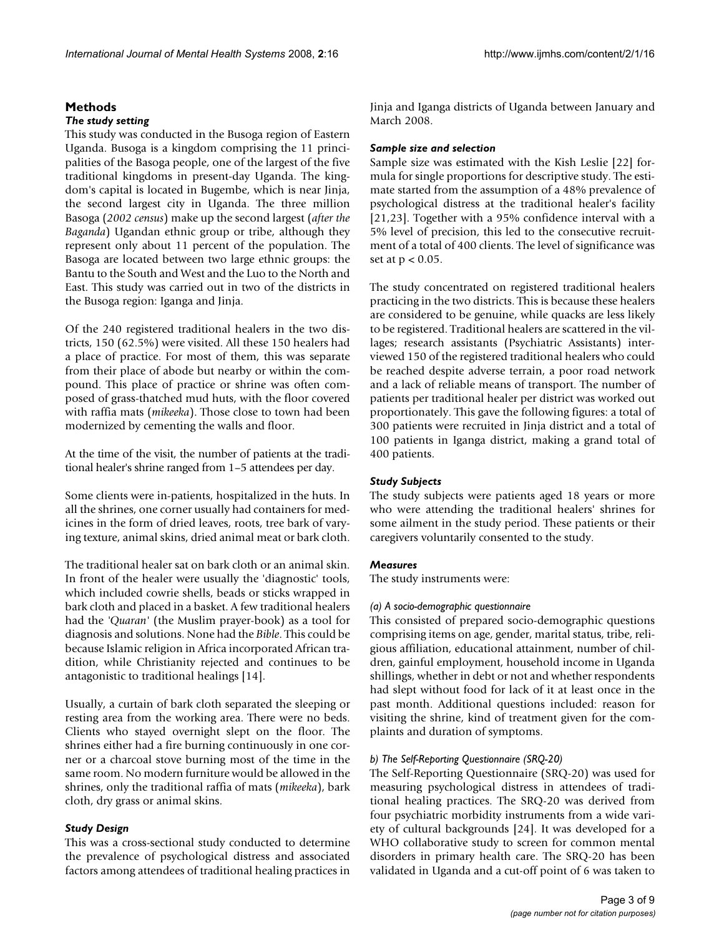### **Methods**

#### *The study setting*

This study was conducted in the Busoga region of Eastern Uganda. Busoga is a kingdom comprising the 11 principalities of the Basoga people, one of the largest of the five traditional kingdoms in present-day Uganda. The kingdom's capital is located in Bugembe, which is near Jinja, the second largest city in Uganda. The three million Basoga (*2002 census*) make up the second largest (*after the Baganda*) Ugandan ethnic group or tribe, although they represent only about 11 percent of the population. The Basoga are located between two large ethnic groups: the Bantu to the South and West and the Luo to the North and East. This study was carried out in two of the districts in the Busoga region: Iganga and Jinja.

Of the 240 registered traditional healers in the two districts, 150 (62.5%) were visited. All these 150 healers had a place of practice. For most of them, this was separate from their place of abode but nearby or within the compound. This place of practice or shrine was often composed of grass-thatched mud huts, with the floor covered with raffia mats (*mikeeka*). Those close to town had been modernized by cementing the walls and floor.

At the time of the visit, the number of patients at the traditional healer's shrine ranged from 1–5 attendees per day.

Some clients were in-patients, hospitalized in the huts. In all the shrines, one corner usually had containers for medicines in the form of dried leaves, roots, tree bark of varying texture, animal skins, dried animal meat or bark cloth.

The traditional healer sat on bark cloth or an animal skin. In front of the healer were usually the 'diagnostic' tools, which included cowrie shells, beads or sticks wrapped in bark cloth and placed in a basket. A few traditional healers had the *'Quaran'* (the Muslim prayer-book) as a tool for diagnosis and solutions. None had the *Bible*. This could be because Islamic religion in Africa incorporated African tradition, while Christianity rejected and continues to be antagonistic to traditional healings [14].

Usually, a curtain of bark cloth separated the sleeping or resting area from the working area. There were no beds. Clients who stayed overnight slept on the floor. The shrines either had a fire burning continuously in one corner or a charcoal stove burning most of the time in the same room. No modern furniture would be allowed in the shrines, only the traditional raffia of mats (*mikeeka*), bark cloth, dry grass or animal skins.

### *Study Design*

This was a cross-sectional study conducted to determine the prevalence of psychological distress and associated factors among attendees of traditional healing practices in Jinja and Iganga districts of Uganda between January and March 2008.

#### *Sample size and selection*

Sample size was estimated with the Kish Leslie [22] formula for single proportions for descriptive study. The estimate started from the assumption of a 48% prevalence of psychological distress at the traditional healer's facility [21,23]. Together with a 95% confidence interval with a 5% level of precision, this led to the consecutive recruitment of a total of 400 clients. The level of significance was set at  $p < 0.05$ .

The study concentrated on registered traditional healers practicing in the two districts. This is because these healers are considered to be genuine, while quacks are less likely to be registered. Traditional healers are scattered in the villages; research assistants (Psychiatric Assistants) interviewed 150 of the registered traditional healers who could be reached despite adverse terrain, a poor road network and a lack of reliable means of transport. The number of patients per traditional healer per district was worked out proportionately. This gave the following figures: a total of 300 patients were recruited in Jinja district and a total of 100 patients in Iganga district, making a grand total of 400 patients.

#### *Study Subjects*

The study subjects were patients aged 18 years or more who were attending the traditional healers' shrines for some ailment in the study period. These patients or their caregivers voluntarily consented to the study.

### *Measures*

The study instruments were:

#### *(a) A socio-demographic questionnaire*

This consisted of prepared socio-demographic questions comprising items on age, gender, marital status, tribe, religious affiliation, educational attainment, number of children, gainful employment, household income in Uganda shillings, whether in debt or not and whether respondents had slept without food for lack of it at least once in the past month. Additional questions included: reason for visiting the shrine, kind of treatment given for the complaints and duration of symptoms.

#### *b) The Self-Reporting Questionnaire (SRQ-20)*

The Self-Reporting Questionnaire (SRQ-20) was used for measuring psychological distress in attendees of traditional healing practices. The SRQ-20 was derived from four psychiatric morbidity instruments from a wide variety of cultural backgrounds [24]. It was developed for a WHO collaborative study to screen for common mental disorders in primary health care. The SRQ-20 has been validated in Uganda and a cut-off point of 6 was taken to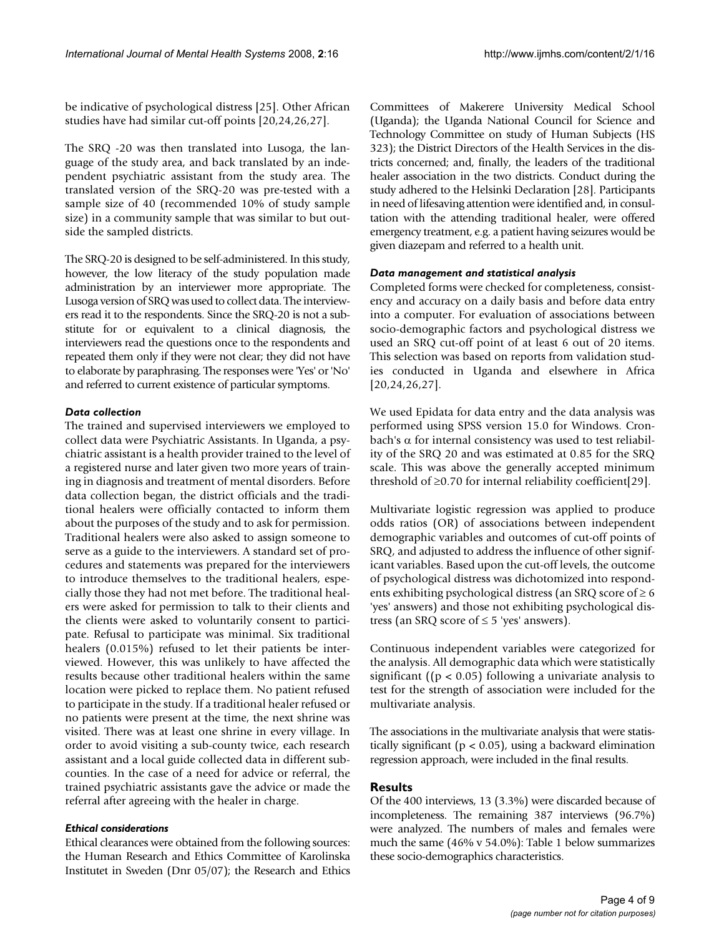be indicative of psychological distress [25]. Other African studies have had similar cut-off points [20,24,26,27].

The SRQ -20 was then translated into Lusoga, the language of the study area, and back translated by an independent psychiatric assistant from the study area. The translated version of the SRQ-20 was pre-tested with a sample size of 40 (recommended 10% of study sample size) in a community sample that was similar to but outside the sampled districts.

The SRQ-20 is designed to be self-administered. In this study, however, the low literacy of the study population made administration by an interviewer more appropriate. The Lusoga version of SRQ was used to collect data. The interviewers read it to the respondents. Since the SRQ-20 is not a substitute for or equivalent to a clinical diagnosis, the interviewers read the questions once to the respondents and repeated them only if they were not clear; they did not have to elaborate by paraphrasing. The responses were 'Yes' or 'No' and referred to current existence of particular symptoms.

#### *Data collection*

The trained and supervised interviewers we employed to collect data were Psychiatric Assistants. In Uganda, a psychiatric assistant is a health provider trained to the level of a registered nurse and later given two more years of training in diagnosis and treatment of mental disorders. Before data collection began, the district officials and the traditional healers were officially contacted to inform them about the purposes of the study and to ask for permission. Traditional healers were also asked to assign someone to serve as a guide to the interviewers. A standard set of procedures and statements was prepared for the interviewers to introduce themselves to the traditional healers, especially those they had not met before. The traditional healers were asked for permission to talk to their clients and the clients were asked to voluntarily consent to participate. Refusal to participate was minimal. Six traditional healers (0.015%) refused to let their patients be interviewed. However, this was unlikely to have affected the results because other traditional healers within the same location were picked to replace them. No patient refused to participate in the study. If a traditional healer refused or no patients were present at the time, the next shrine was visited. There was at least one shrine in every village. In order to avoid visiting a sub-county twice, each research assistant and a local guide collected data in different subcounties. In the case of a need for advice or referral, the trained psychiatric assistants gave the advice or made the referral after agreeing with the healer in charge.

#### *Ethical considerations*

Ethical clearances were obtained from the following sources: the Human Research and Ethics Committee of Karolinska Institutet in Sweden (Dnr 05/07); the Research and Ethics Committees of Makerere University Medical School (Uganda); the Uganda National Council for Science and Technology Committee on study of Human Subjects (HS 323); the District Directors of the Health Services in the districts concerned; and, finally, the leaders of the traditional healer association in the two districts. Conduct during the study adhered to the Helsinki Declaration [28]. Participants in need of lifesaving attention were identified and, in consultation with the attending traditional healer, were offered emergency treatment, e.g. a patient having seizures would be given diazepam and referred to a health unit.

#### *Data management and statistical analysis*

Completed forms were checked for completeness, consistency and accuracy on a daily basis and before data entry into a computer. For evaluation of associations between socio-demographic factors and psychological distress we used an SRQ cut-off point of at least 6 out of 20 items. This selection was based on reports from validation studies conducted in Uganda and elsewhere in Africa [20,24,26,27].

We used Epidata for data entry and the data analysis was performed using SPSS version 15.0 for Windows. Cronbach's α for internal consistency was used to test reliability of the SRQ 20 and was estimated at 0.85 for the SRQ scale. This was above the generally accepted minimum threshold of ≥0.70 for internal reliability coefficient[29].

Multivariate logistic regression was applied to produce odds ratios (OR) of associations between independent demographic variables and outcomes of cut-off points of SRQ, and adjusted to address the influence of other significant variables. Based upon the cut-off levels, the outcome of psychological distress was dichotomized into respondents exhibiting psychological distress (an SRQ score of  $\geq 6$ 'yes' answers) and those not exhibiting psychological distress (an SRQ score of  $\leq$  5 'yes' answers).

Continuous independent variables were categorized for the analysis. All demographic data which were statistically significant ( $(p < 0.05)$  following a univariate analysis to test for the strength of association were included for the multivariate analysis.

The associations in the multivariate analysis that were statistically significant (p < 0.05), using a backward elimination regression approach, were included in the final results.

### **Results**

Of the 400 interviews, 13 (3.3%) were discarded because of incompleteness. The remaining 387 interviews (96.7%) were analyzed. The numbers of males and females were much the same (46% v 54.0%): Table 1 below summarizes these socio-demographics characteristics.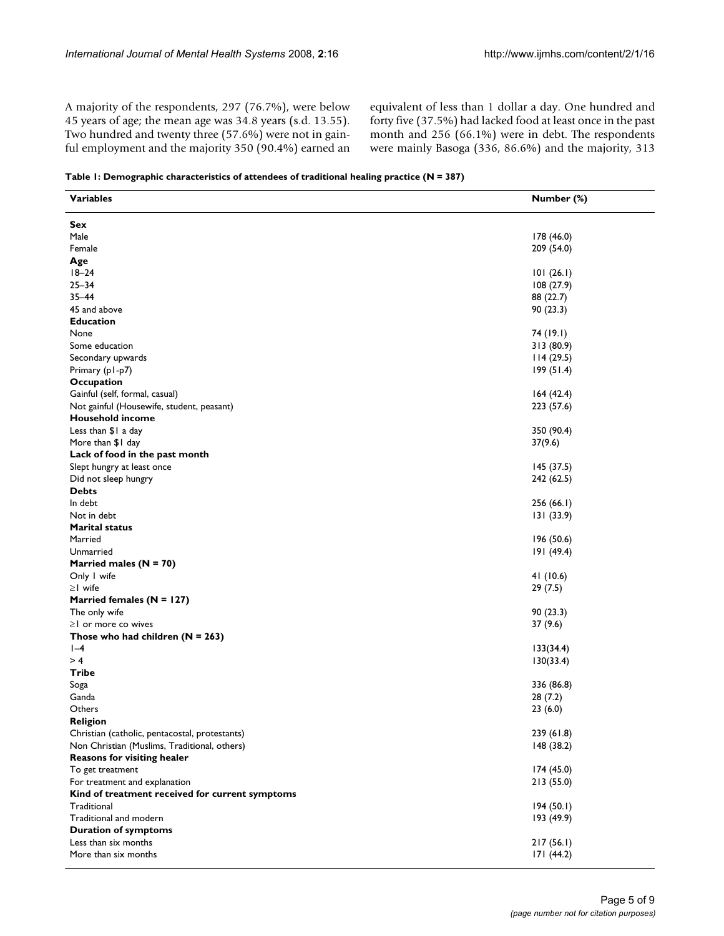A majority of the respondents, 297 (76.7%), were below 45 years of age; the mean age was 34.8 years (s.d. 13.55). Two hundred and twenty three (57.6%) were not in gainful employment and the majority 350 (90.4%) earned an equivalent of less than 1 dollar a day. One hundred and forty five (37.5%) had lacked food at least once in the past month and 256 (66.1%) were in debt. The respondents were mainly Basoga (336, 86.6%) and the majority, 313

**Table 1: Demographic characteristics of attendees of traditional healing practice (N = 387)**

| <b>Variables</b>                                | Number (%) |
|-------------------------------------------------|------------|
| Sex                                             |            |
| Male                                            | 178(46.0)  |
| Female                                          | 209 (54.0) |
| Age                                             |            |
| $18 - 24$                                       | 101(26.1)  |
| $25 - 34$                                       | 108(27.9)  |
| $35 - 44$                                       | 88 (22.7)  |
| 45 and above                                    | 90(23.3)   |
| <b>Education</b>                                |            |
| None                                            | 74 (19.1)  |
| Some education                                  | 313(80.9)  |
| Secondary upwards                               | 114(29.5)  |
| Primary (p1-p7)                                 | 199(51.4)  |
| Occupation                                      |            |
| Gainful (self, formal, casual)                  | 164(42.4)  |
| Not gainful (Housewife, student, peasant)       | 223 (57.6) |
| <b>Household income</b>                         |            |
| Less than \$1 a day                             | 350 (90.4) |
| More than \$1 day                               | 37(9.6)    |
| Lack of food in the past month                  |            |
| Slept hungry at least once                      | 145(37.5)  |
| Did not sleep hungry                            | 242 (62.5) |
| <b>Debts</b>                                    |            |
| In debt                                         | 256 (66.1) |
| Not in debt                                     | 131(33.9)  |
| <b>Marital status</b>                           |            |
| Married                                         | 196 (50.6) |
| Unmarried                                       | 191(49.4)  |
| Married males $(N = 70)$                        |            |
| Only I wife                                     | 41 (10.6)  |
| $\geq$   wife                                   | 29(7.5)    |
| Married females $(N = 127)$                     |            |
| The only wife                                   | 90(23.3)   |
| $\geq$ or more co wives                         | 37(9.6)    |
| Those who had children $(N = 263)$              |            |
| $ -4$                                           | 133(34.4)  |
| > 4                                             | 130(33.4)  |
| <b>Tribe</b>                                    |            |
| Soga                                            | 336 (86.8) |
| Ganda                                           | 28(7.2)    |
| Others                                          | 23(6.0)    |
| Religion                                        |            |
| Christian (catholic, pentacostal, protestants)  | 239 (61.8) |
| Non Christian (Muslims, Traditional, others)    | 148 (38.2) |
| Reasons for visiting healer                     |            |
| To get treatment                                | 174 (45.0) |
| For treatment and explanation                   | 213 (55.0) |
| Kind of treatment received for current symptoms |            |
| Traditional                                     | 194(50.1)  |
| Traditional and modern                          | 193 (49.9) |
| <b>Duration of symptoms</b>                     |            |
| Less than six months                            | 217(56.1)  |
| More than six months                            | 171(44.2)  |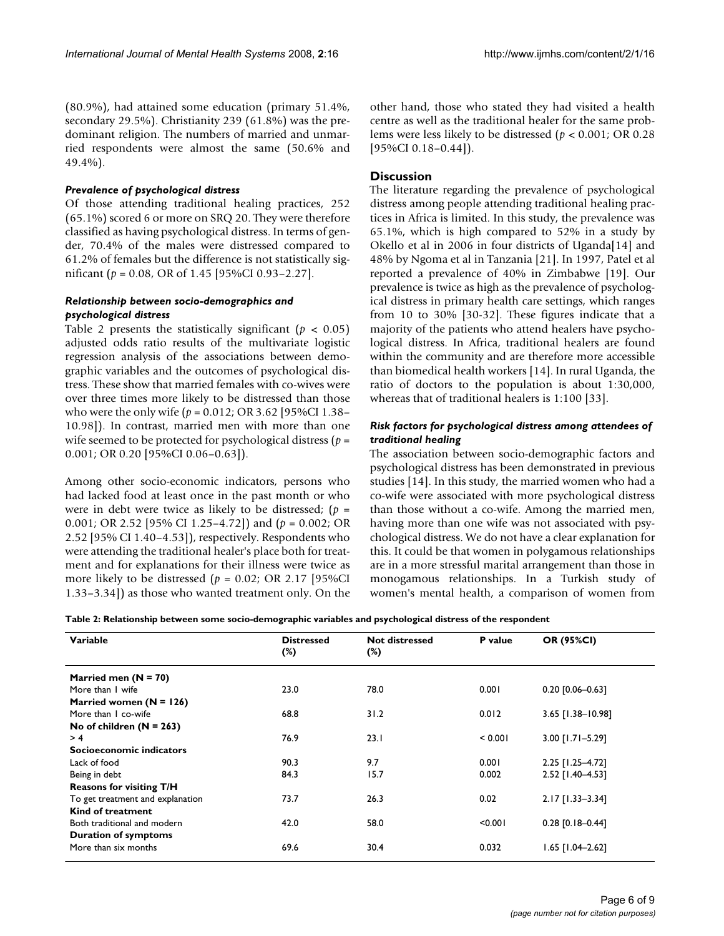(80.9%), had attained some education (primary 51.4%, secondary 29.5%). Christianity 239 (61.8%) was the predominant religion. The numbers of married and unmarried respondents were almost the same (50.6% and 49.4%).

#### *Prevalence of psychological distress*

Of those attending traditional healing practices, 252 (65.1%) scored 6 or more on SRQ 20. They were therefore classified as having psychological distress. In terms of gender, 70.4% of the males were distressed compared to 61.2% of females but the difference is not statistically significant (*p* = 0.08, OR of 1.45 [95%CI 0.93–2.27].

#### *Relationship between socio-demographics and psychological distress*

Table 2 presents the statistically significant ( $p < 0.05$ ) adjusted odds ratio results of the multivariate logistic regression analysis of the associations between demographic variables and the outcomes of psychological distress. These show that married females with co-wives were over three times more likely to be distressed than those who were the only wife (*p* = 0.012; OR 3.62 [95%CI 1.38– 10.98]). In contrast, married men with more than one wife seemed to be protected for psychological distress (*p* = 0.001; OR 0.20 [95%CI 0.06–0.63]).

Among other socio-economic indicators, persons who had lacked food at least once in the past month or who were in debt were twice as likely to be distressed; (*p* = 0.001; OR 2.52 [95% CI 1.25–4.72]) and (*p* = 0.002; OR 2.52 [95% CI 1.40–4.53]), respectively. Respondents who were attending the traditional healer's place both for treatment and for explanations for their illness were twice as more likely to be distressed (*p* = 0.02; OR 2.17 [95%CI 1.33–3.34]) as those who wanted treatment only. On the other hand, those who stated they had visited a health centre as well as the traditional healer for the same problems were less likely to be distressed (*p* < 0.001; OR 0.28  $[95\%CI\ 0.18-0.44]$ .

#### **Discussion**

The literature regarding the prevalence of psychological distress among people attending traditional healing practices in Africa is limited. In this study, the prevalence was 65.1%, which is high compared to 52% in a study by Okello et al in 2006 in four districts of Uganda[14] and 48% by Ngoma et al in Tanzania [21]. In 1997, Patel et al reported a prevalence of 40% in Zimbabwe [19]. Our prevalence is twice as high as the prevalence of psychological distress in primary health care settings, which ranges from 10 to 30% [30-32]. These figures indicate that a majority of the patients who attend healers have psychological distress. In Africa, traditional healers are found within the community and are therefore more accessible than biomedical health workers [14]. In rural Uganda, the ratio of doctors to the population is about 1:30,000, whereas that of traditional healers is 1:100 [33].

#### *Risk factors for psychological distress among attendees of traditional healing*

The association between socio-demographic factors and psychological distress has been demonstrated in previous studies [14]. In this study, the married women who had a co-wife were associated with more psychological distress than those without a co-wife. Among the married men, having more than one wife was not associated with psychological distress. We do not have a clear explanation for this. It could be that women in polygamous relationships are in a more stressful marital arrangement than those in monogamous relationships. In a Turkish study of women's mental health, a comparison of women from

**Table 2: Relationship between some socio-demographic variables and psychological distress of the respondent**

| Variable                         | <b>Distressed</b> | <b>Not distressed</b> | P value | <b>OR (95%CI)</b>       |
|----------------------------------|-------------------|-----------------------|---------|-------------------------|
|                                  | $(\%)$            | $(\%)$                |         |                         |
| Married men $(N = 70)$           |                   |                       |         |                         |
| More than I wife                 | 23.0              | 78.0                  | 0.001   | $0.20$ [0.06-0.63]      |
| Married women $(N = 126)$        |                   |                       |         |                         |
| More than I co-wife              | 68.8              | 31.2                  | 0.012   | $3.65$ $[1.38 - 10.98]$ |
| No of children $(N = 263)$       |                   |                       |         |                         |
| > 4                              | 76.9              | 23.1                  | < 0.001 | $3.00$ [1.71-5.29]      |
| Socioeconomic indicators         |                   |                       |         |                         |
| Lack of food                     | 90.3              | 9.7                   | 0.001   | $2.25$ [1.25-4.72]      |
| Being in debt                    | 84.3              | 15.7                  | 0.002   | 2.52 [1.40-4.53]        |
| <b>Reasons for visiting T/H</b>  |                   |                       |         |                         |
| To get treatment and explanation | 73.7              | 26.3                  | 0.02    | $2.17$ [1.33-3.34]      |
| Kind of treatment                |                   |                       |         |                         |
| Both traditional and modern      | 42.0              | 58.0                  | < 0.001 | $0.28$ [0.18-0.44]      |
| <b>Duration of symptoms</b>      |                   |                       |         |                         |
| More than six months             | 69.6              | 30.4                  | 0.032   | $1.65$ [1.04-2.62]      |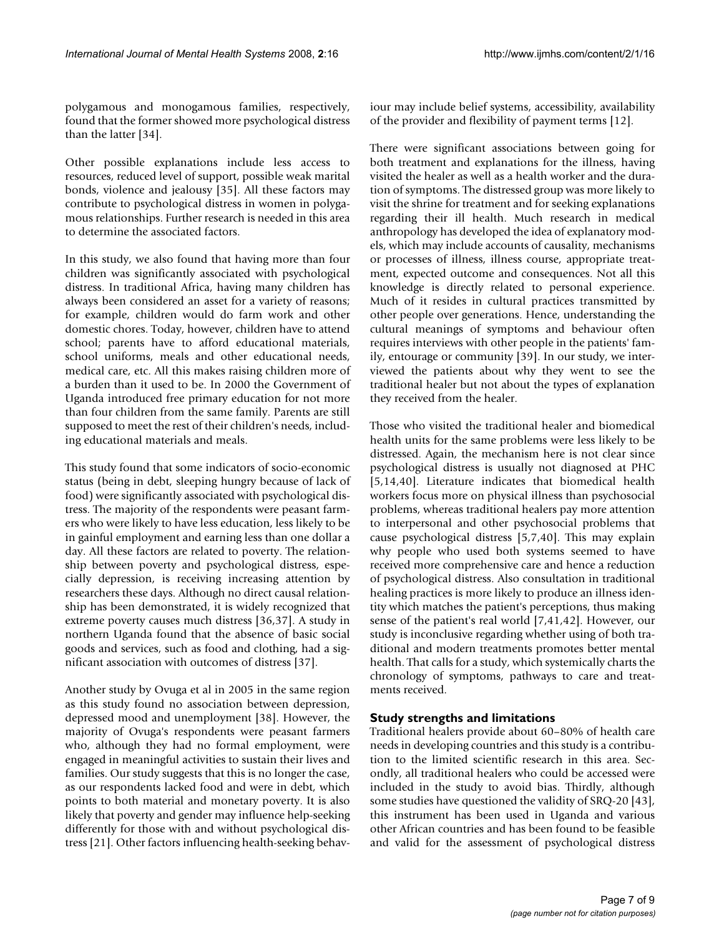polygamous and monogamous families, respectively, found that the former showed more psychological distress than the latter [34].

Other possible explanations include less access to resources, reduced level of support, possible weak marital bonds, violence and jealousy [35]. All these factors may contribute to psychological distress in women in polygamous relationships. Further research is needed in this area to determine the associated factors.

In this study, we also found that having more than four children was significantly associated with psychological distress. In traditional Africa, having many children has always been considered an asset for a variety of reasons; for example, children would do farm work and other domestic chores. Today, however, children have to attend school; parents have to afford educational materials, school uniforms, meals and other educational needs, medical care, etc. All this makes raising children more of a burden than it used to be. In 2000 the Government of Uganda introduced free primary education for not more than four children from the same family. Parents are still supposed to meet the rest of their children's needs, including educational materials and meals.

This study found that some indicators of socio-economic status (being in debt, sleeping hungry because of lack of food) were significantly associated with psychological distress. The majority of the respondents were peasant farmers who were likely to have less education, less likely to be in gainful employment and earning less than one dollar a day. All these factors are related to poverty. The relationship between poverty and psychological distress, especially depression, is receiving increasing attention by researchers these days. Although no direct causal relationship has been demonstrated, it is widely recognized that extreme poverty causes much distress [36,37]. A study in northern Uganda found that the absence of basic social goods and services, such as food and clothing, had a significant association with outcomes of distress [37].

Another study by Ovuga et al in 2005 in the same region as this study found no association between depression, depressed mood and unemployment [38]. However, the majority of Ovuga's respondents were peasant farmers who, although they had no formal employment, were engaged in meaningful activities to sustain their lives and families. Our study suggests that this is no longer the case, as our respondents lacked food and were in debt, which points to both material and monetary poverty. It is also likely that poverty and gender may influence help-seeking differently for those with and without psychological distress [21]. Other factors influencing health-seeking behaviour may include belief systems, accessibility, availability of the provider and flexibility of payment terms [12].

There were significant associations between going for both treatment and explanations for the illness, having visited the healer as well as a health worker and the duration of symptoms. The distressed group was more likely to visit the shrine for treatment and for seeking explanations regarding their ill health. Much research in medical anthropology has developed the idea of explanatory models, which may include accounts of causality, mechanisms or processes of illness, illness course, appropriate treatment, expected outcome and consequences. Not all this knowledge is directly related to personal experience. Much of it resides in cultural practices transmitted by other people over generations. Hence, understanding the cultural meanings of symptoms and behaviour often requires interviews with other people in the patients' family, entourage or community [39]. In our study, we interviewed the patients about why they went to see the traditional healer but not about the types of explanation they received from the healer.

Those who visited the traditional healer and biomedical health units for the same problems were less likely to be distressed. Again, the mechanism here is not clear since psychological distress is usually not diagnosed at PHC [5,14,40]. Literature indicates that biomedical health workers focus more on physical illness than psychosocial problems, whereas traditional healers pay more attention to interpersonal and other psychosocial problems that cause psychological distress [5,7,40]. This may explain why people who used both systems seemed to have received more comprehensive care and hence a reduction of psychological distress. Also consultation in traditional healing practices is more likely to produce an illness identity which matches the patient's perceptions, thus making sense of the patient's real world [7,41,42]. However, our study is inconclusive regarding whether using of both traditional and modern treatments promotes better mental health. That calls for a study, which systemically charts the chronology of symptoms, pathways to care and treatments received.

### **Study strengths and limitations**

Traditional healers provide about 60–80% of health care needs in developing countries and this study is a contribution to the limited scientific research in this area. Secondly, all traditional healers who could be accessed were included in the study to avoid bias. Thirdly, although some studies have questioned the validity of SRQ-20 [43], this instrument has been used in Uganda and various other African countries and has been found to be feasible and valid for the assessment of psychological distress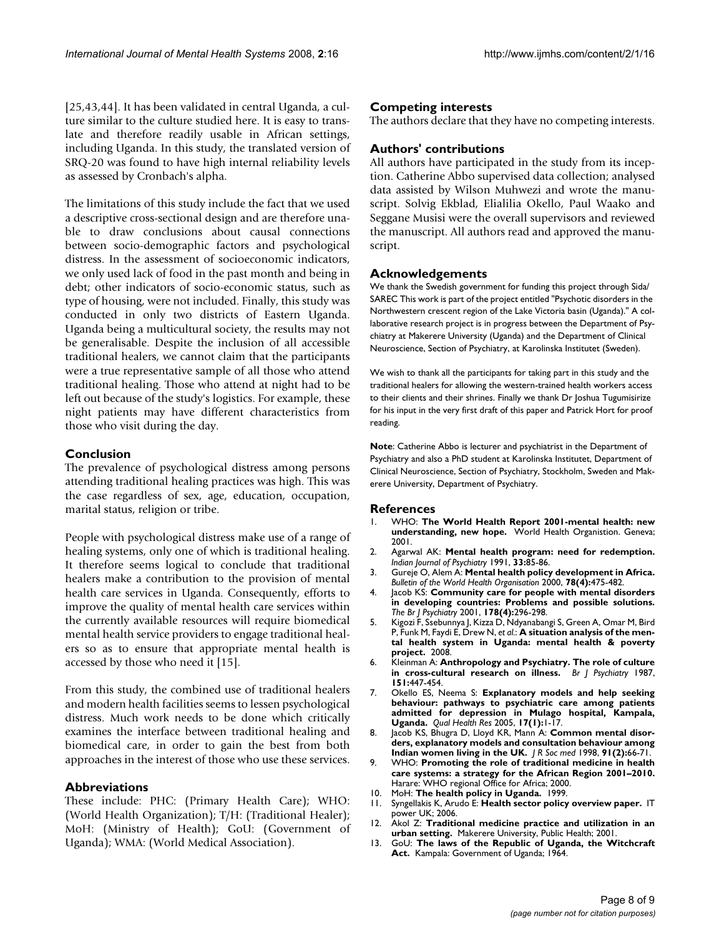[25,43,44]. It has been validated in central Uganda, a culture similar to the culture studied here. It is easy to translate and therefore readily usable in African settings, including Uganda. In this study, the translated version of SRQ-20 was found to have high internal reliability levels as assessed by Cronbach's alpha.

The limitations of this study include the fact that we used a descriptive cross-sectional design and are therefore unable to draw conclusions about causal connections between socio-demographic factors and psychological distress. In the assessment of socioeconomic indicators, we only used lack of food in the past month and being in debt; other indicators of socio-economic status, such as type of housing, were not included. Finally, this study was conducted in only two districts of Eastern Uganda. Uganda being a multicultural society, the results may not be generalisable. Despite the inclusion of all accessible traditional healers, we cannot claim that the participants were a true representative sample of all those who attend traditional healing. Those who attend at night had to be left out because of the study's logistics. For example, these night patients may have different characteristics from those who visit during the day.

### **Conclusion**

The prevalence of psychological distress among persons attending traditional healing practices was high. This was the case regardless of sex, age, education, occupation, marital status, religion or tribe.

People with psychological distress make use of a range of healing systems, only one of which is traditional healing. It therefore seems logical to conclude that traditional healers make a contribution to the provision of mental health care services in Uganda. Consequently, efforts to improve the quality of mental health care services within the currently available resources will require biomedical mental health service providers to engage traditional healers so as to ensure that appropriate mental health is accessed by those who need it [15].

From this study, the combined use of traditional healers and modern health facilities seems to lessen psychological distress. Much work needs to be done which critically examines the interface between traditional healing and biomedical care, in order to gain the best from both approaches in the interest of those who use these services.

### **Abbreviations**

These include: PHC: (Primary Health Care); WHO: (World Health Organization); T/H: (Traditional Healer); MoH: (Ministry of Health); GoU: (Government of Uganda); WMA: (World Medical Association).

#### **Competing interests**

The authors declare that they have no competing interests.

#### **Authors' contributions**

All authors have participated in the study from its inception. Catherine Abbo supervised data collection; analysed data assisted by Wilson Muhwezi and wrote the manuscript. Solvig Ekblad, Elialilia Okello, Paul Waako and Seggane Musisi were the overall supervisors and reviewed the manuscript. All authors read and approved the manuscript.

#### **Acknowledgements**

We thank the Swedish government for funding this project through Sida/ SAREC This work is part of the project entitled "Psychotic disorders in the Northwestern crescent region of the Lake Victoria basin (Uganda)." A collaborative research project is in progress between the Department of Psychiatry at Makerere University (Uganda) and the Department of Clinical Neuroscience, Section of Psychiatry, at Karolinska Institutet (Sweden).

We wish to thank all the participants for taking part in this study and the traditional healers for allowing the western-trained health workers access to their clients and their shrines. Finally we thank Dr Joshua Tugumisirize for his input in the very first draft of this paper and Patrick Hort for proof reading.

**Note**: Catherine Abbo is lecturer and psychiatrist in the Department of Psychiatry and also a PhD student at Karolinska Institutet, Department of Clinical Neuroscience, Section of Psychiatry, Stockholm, Sweden and Makerere University, Department of Psychiatry.

#### **References**

- 1. WHO: **The World Health Report 2001-mental health: new understanding, new hope.** World Health Organistion. Geneva; 2001.
- 2. Agarwal AK: **Mental health program: need for redemption.** *Indian Journal of Psychiatry* 1991, **33:**85-86.
- 3. Gureje O, Alem A: **Mental health policy development in Africa.** *Bulletin of the World Health Organisation* 2000, **78(4):**475-482.
- 4. Jacob KS: **Community care for people with mental disorders in developing countries: Problems and possible solutions.** *The Br J Psychiatry* 2001, **178(4):**296-298.
- 5. Kigozi F, Ssebunnya J, Kizza D, Ndyanabangi S, Green A, Omar M, Bird P, Funk M, Faydi E, Drew N, *et al.*: **A situation analysis of the mental health system in Uganda: mental health & poverty project.** 2008.
- 6. Kleinman A: **[Anthropology and Psychiatry. The role of culture](http://www.ncbi.nlm.nih.gov/entrez/query.fcgi?cmd=Retrieve&db=PubMed&dopt=Abstract&list_uids=3447661) [in cross-cultural research on illness.](http://www.ncbi.nlm.nih.gov/entrez/query.fcgi?cmd=Retrieve&db=PubMed&dopt=Abstract&list_uids=3447661)** *Br J Psychiatry* 1987, **151:**447-454.
- 7. Okello ES, Neema S: **Explanatory models and help seeking behaviour: pathways to psychiatric care among patients admitted for depression in Mulago hospital, Kampala, Uganda.** *Qual Health Res* 2005, **17(1):**1-17.
- 8. Jacob KS, Bhugra D, Lloyd KR, Mann A: **[Common mental disor](http://www.ncbi.nlm.nih.gov/entrez/query.fcgi?cmd=Retrieve&db=PubMed&dopt=Abstract&list_uids=9602740)[ders, explanatory models and consultation behaviour among](http://www.ncbi.nlm.nih.gov/entrez/query.fcgi?cmd=Retrieve&db=PubMed&dopt=Abstract&list_uids=9602740) [Indian women living in the UK.](http://www.ncbi.nlm.nih.gov/entrez/query.fcgi?cmd=Retrieve&db=PubMed&dopt=Abstract&list_uids=9602740)** *J R Soc med* 1998, **91(2):**66-71.
- 9. WHO: **Promoting the role of traditional medicine in health care systems: a strategy for the African Region 2001–2010.** Harare: WHO regional Office for Africa; 2000.
- 10. MoH: **The health policy in Uganda.** 1999.
- 11. Syngellakis K, Arudo E: **Health sector policy overview paper.** IT power UK; 2006.
- 12. Akol Z: **Traditional medicine practice and utilization in an urban setting.** Makerere University, Public Health; 2001.
- 13. GoU: **The laws of the Republic of Uganda, the Witchcraft Act.** Kampala: Government of Uganda; 1964.